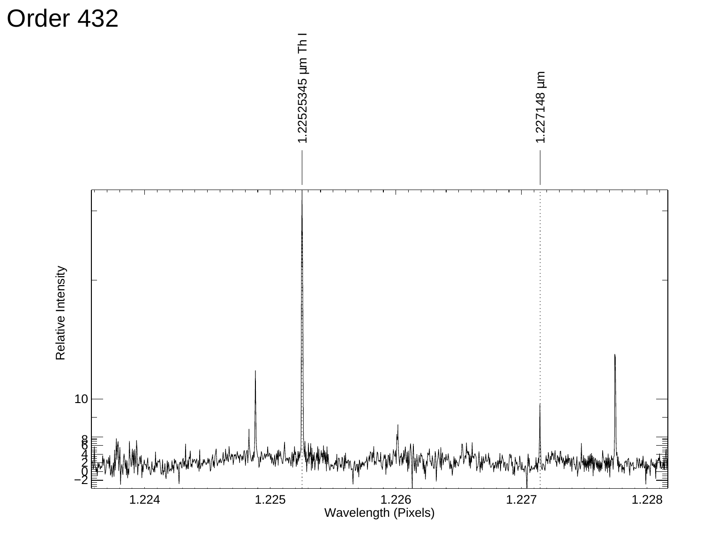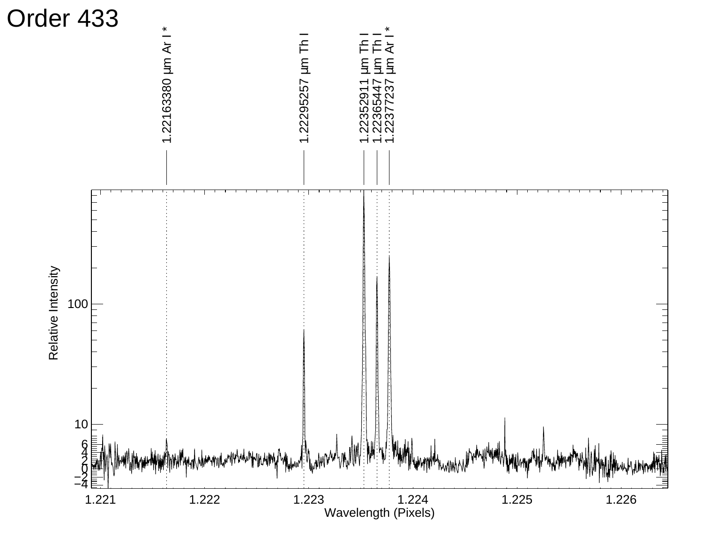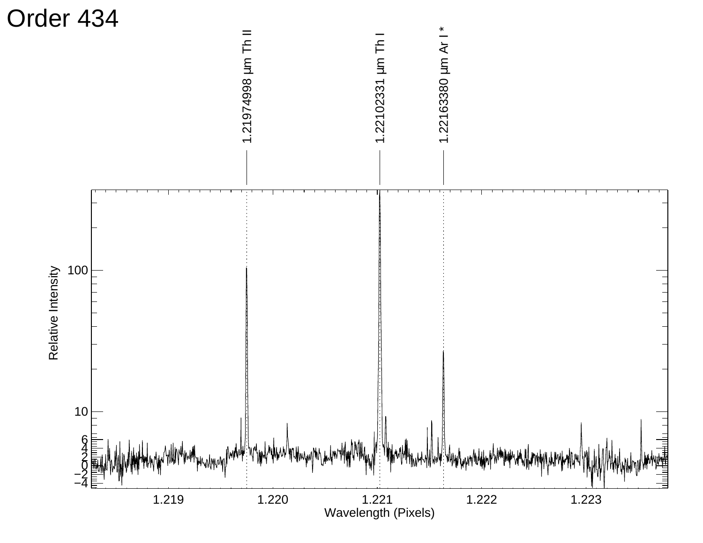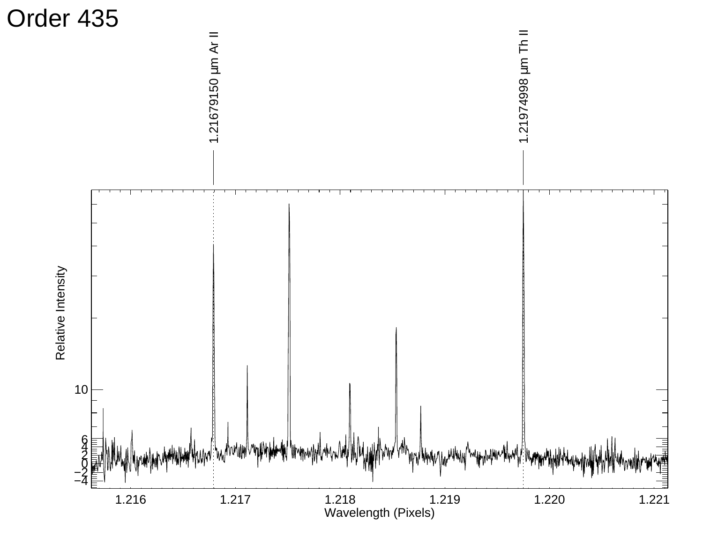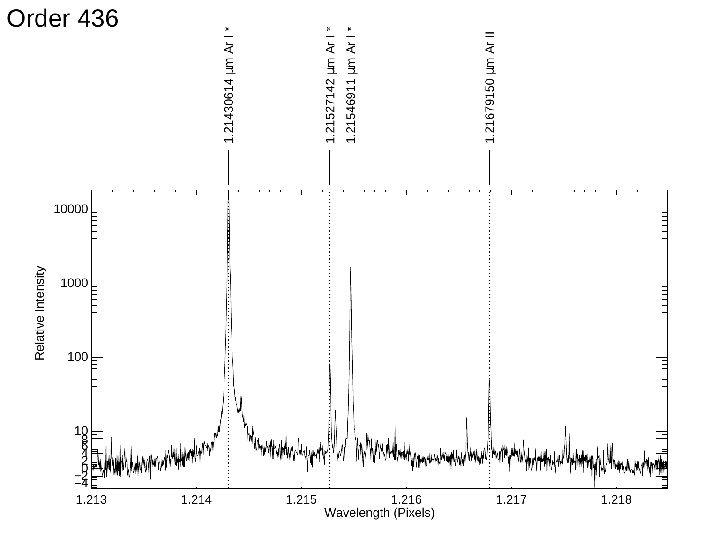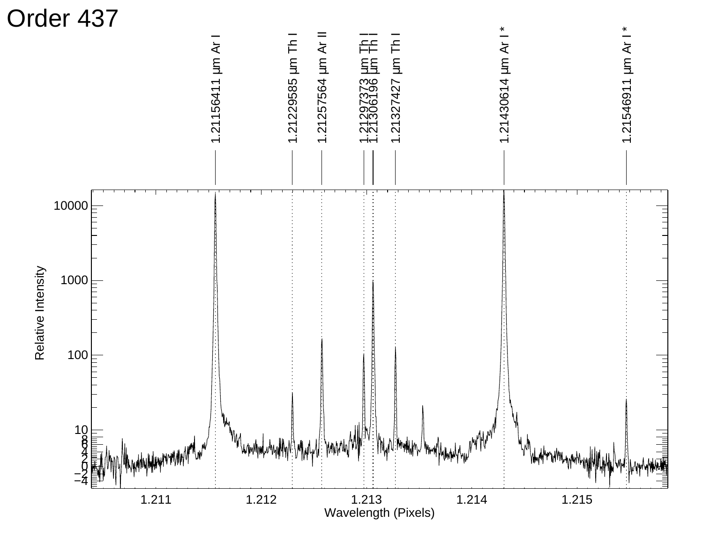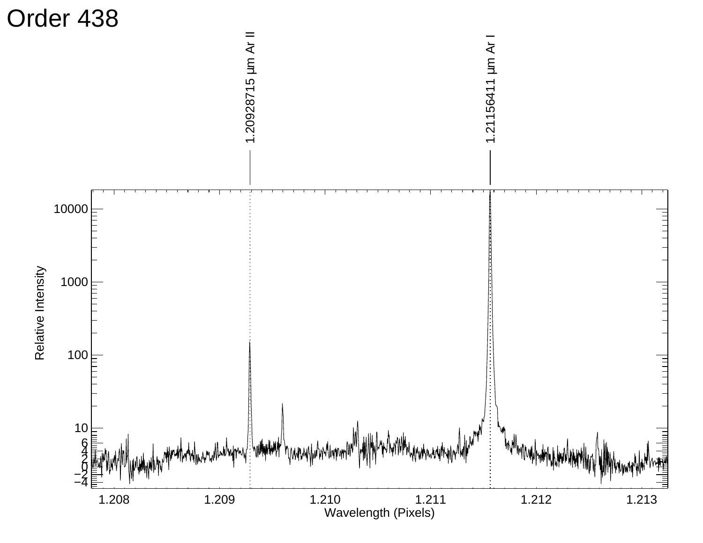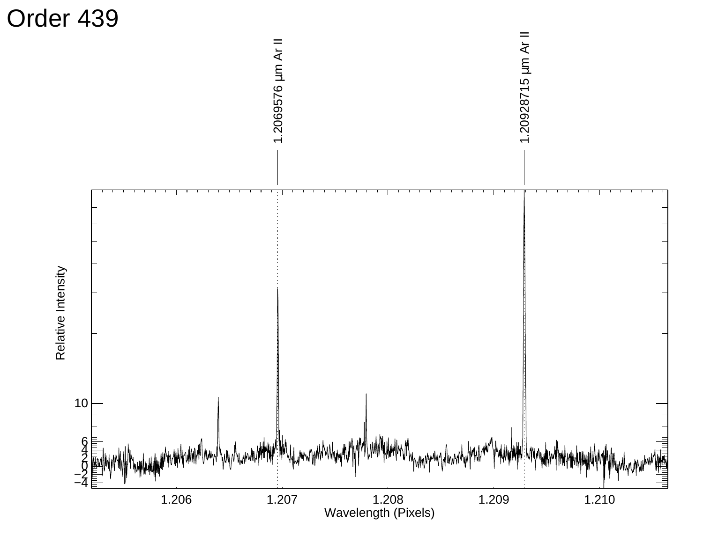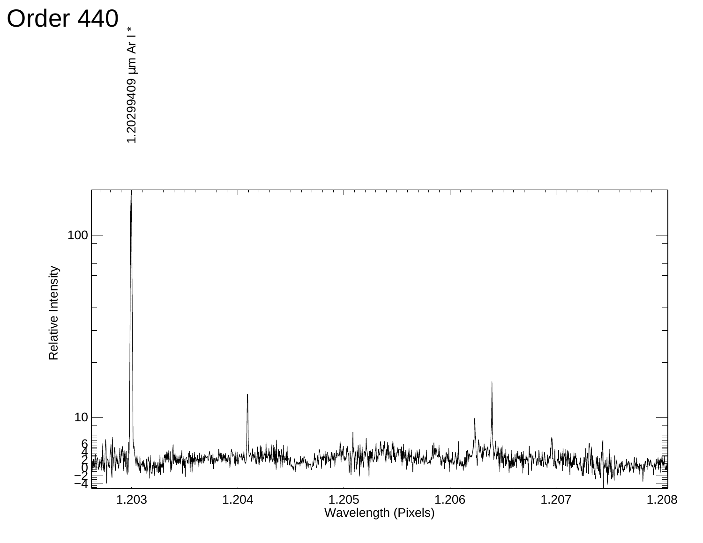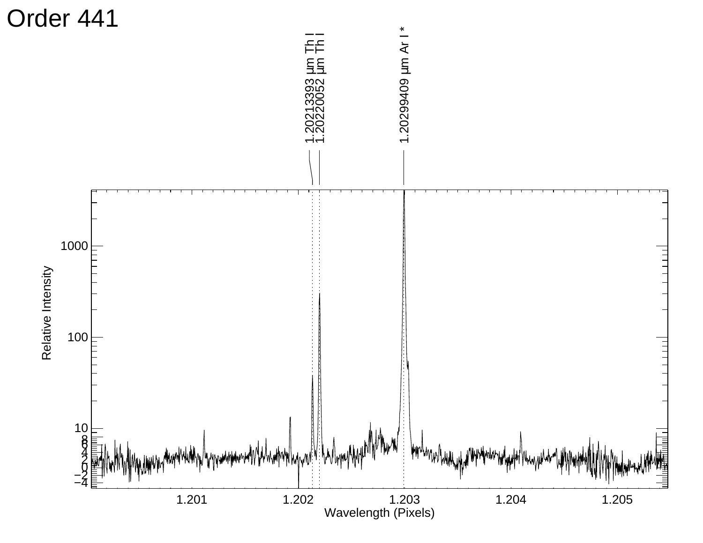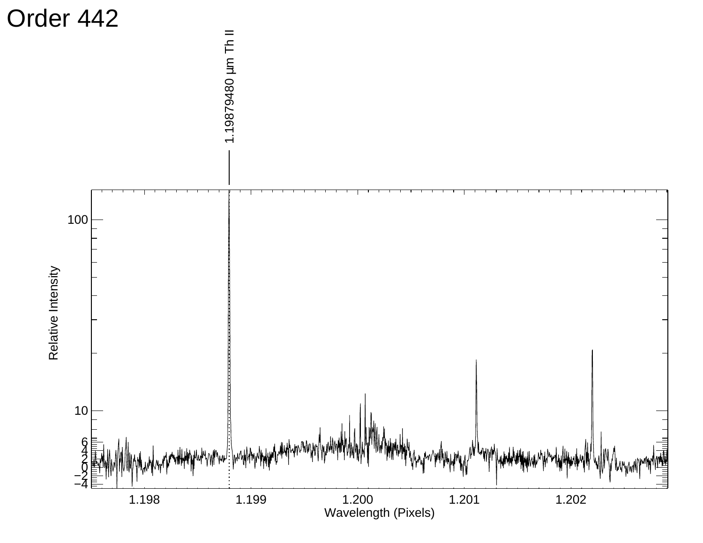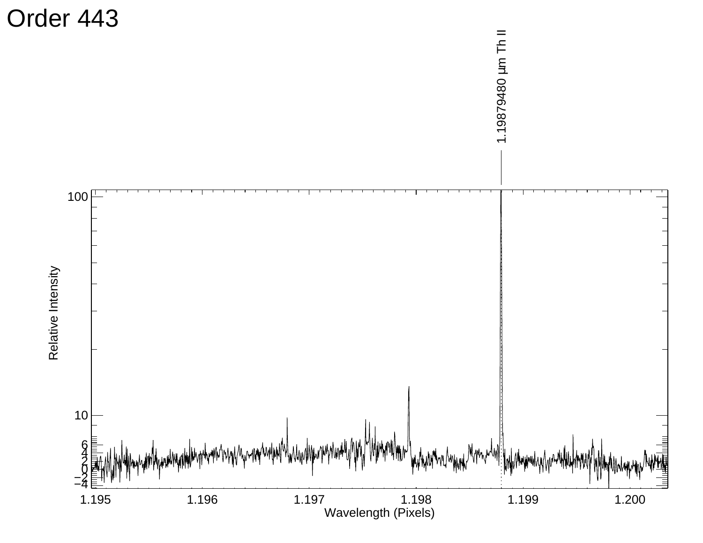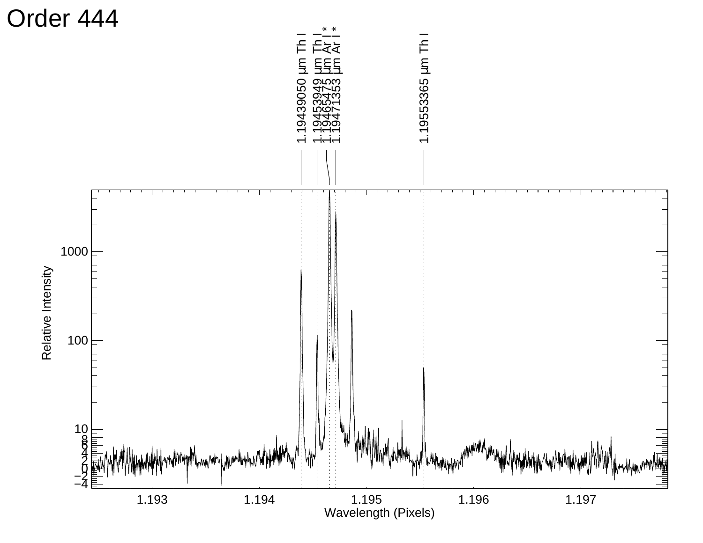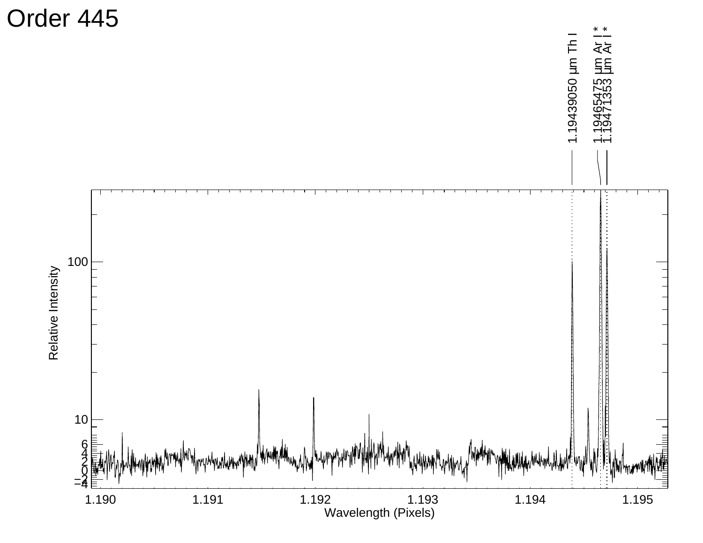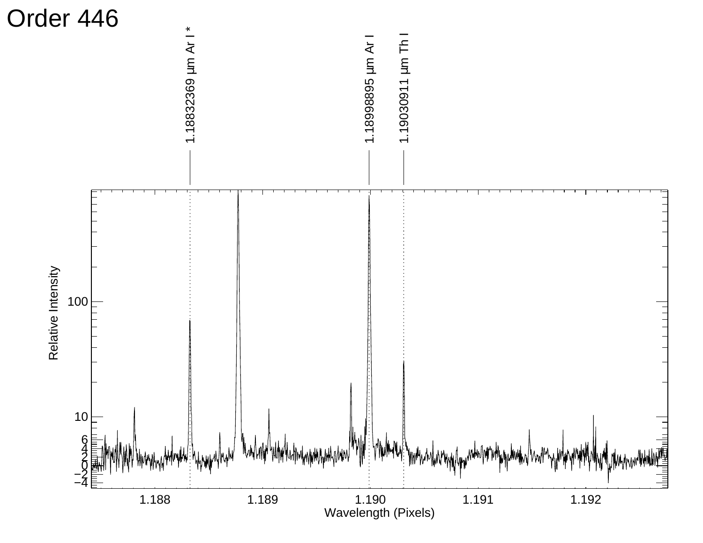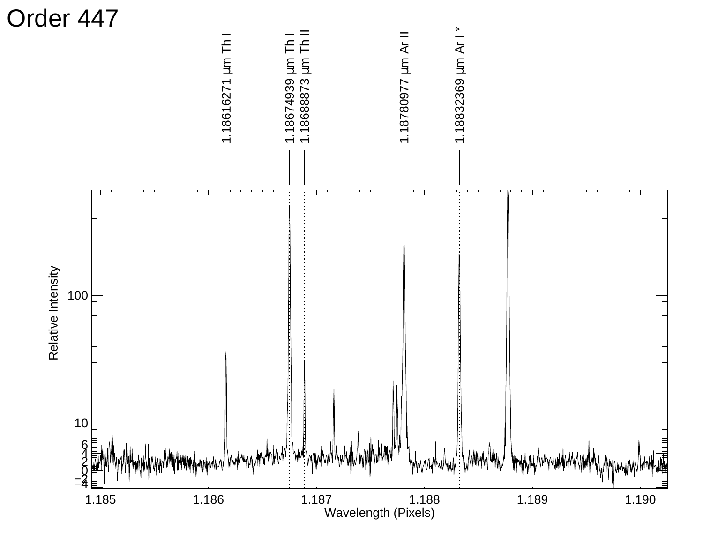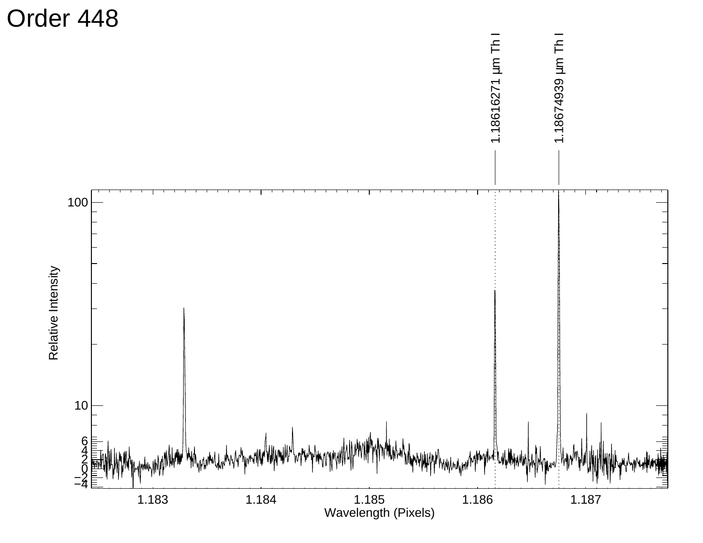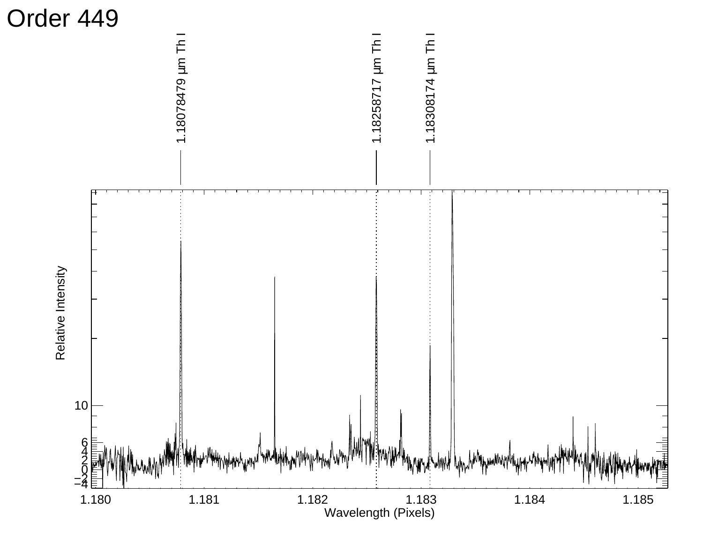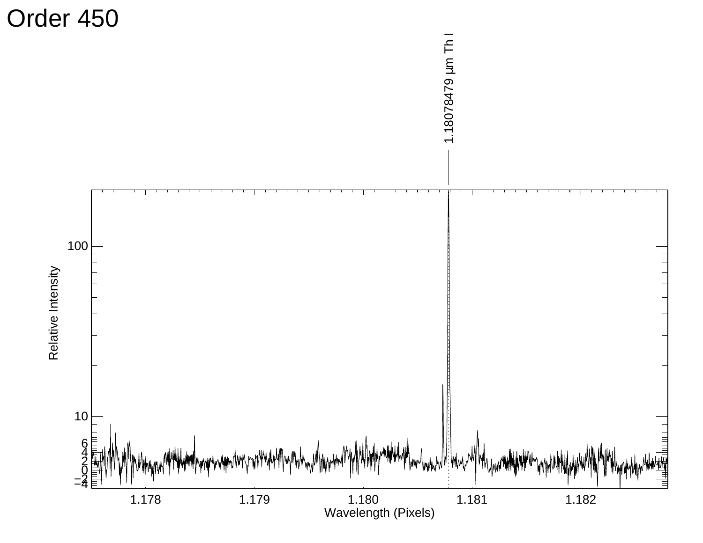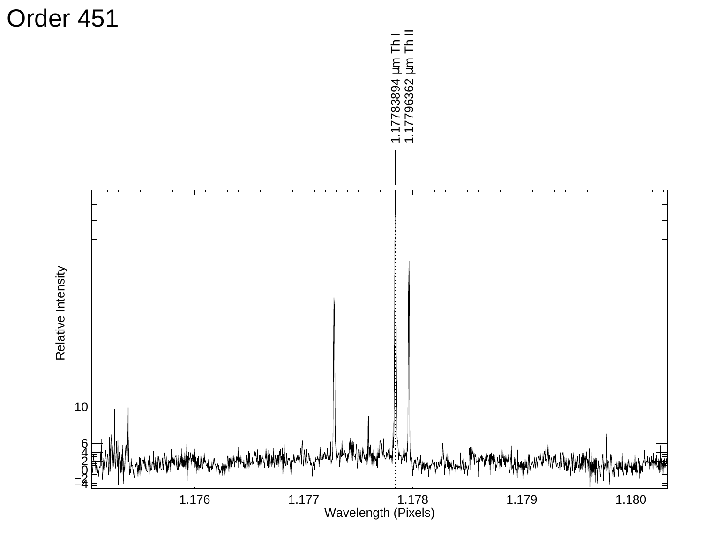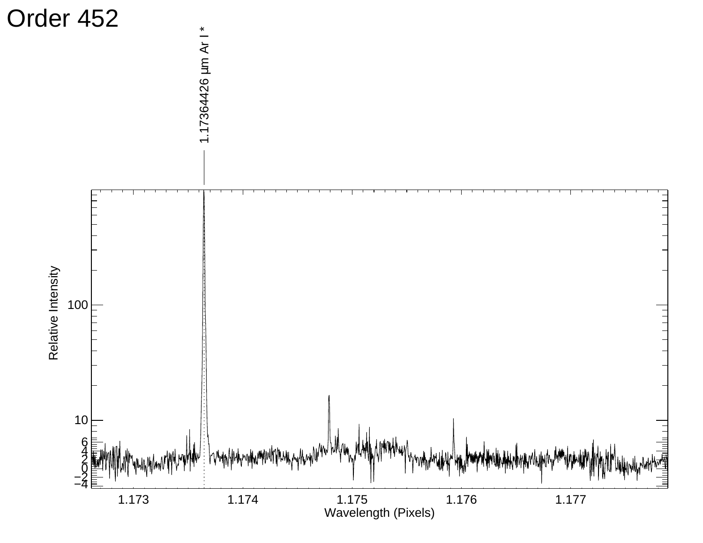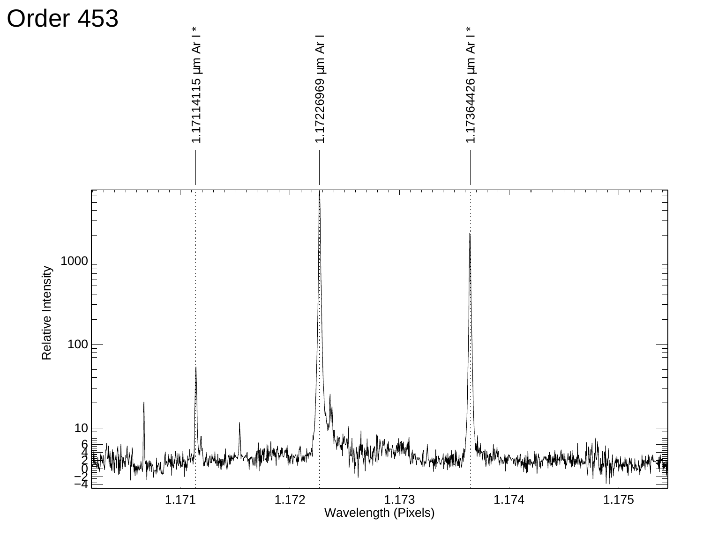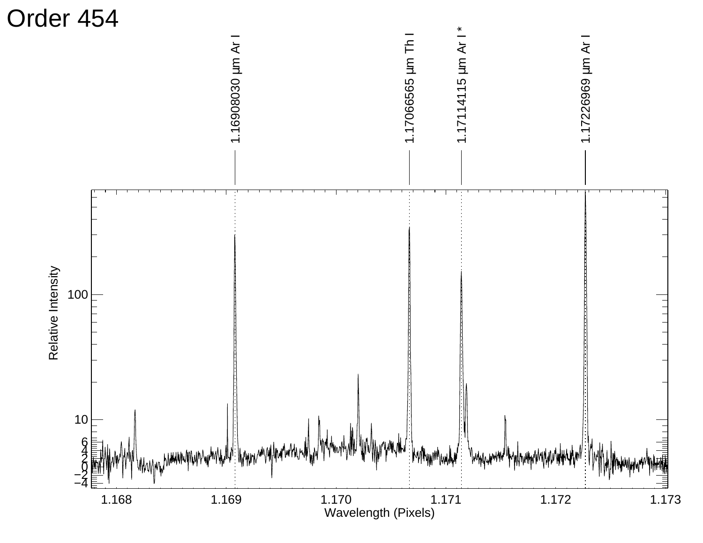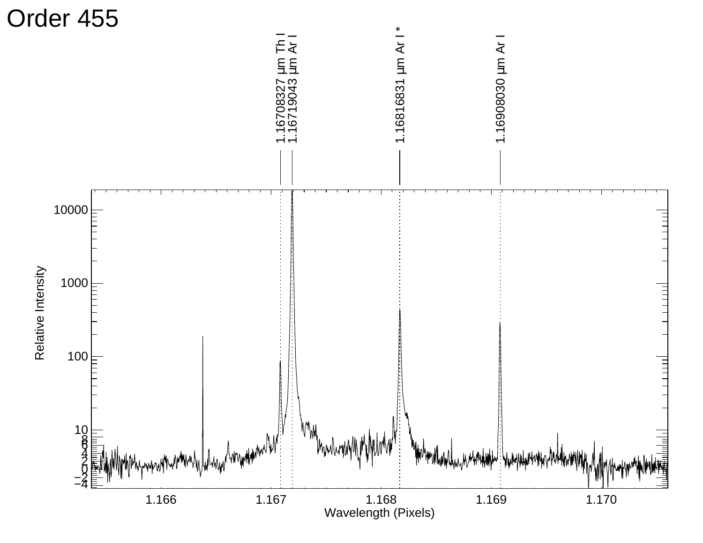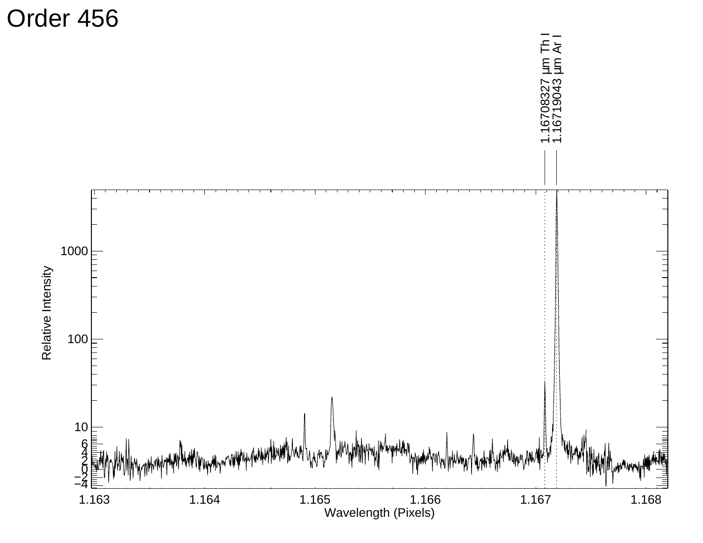

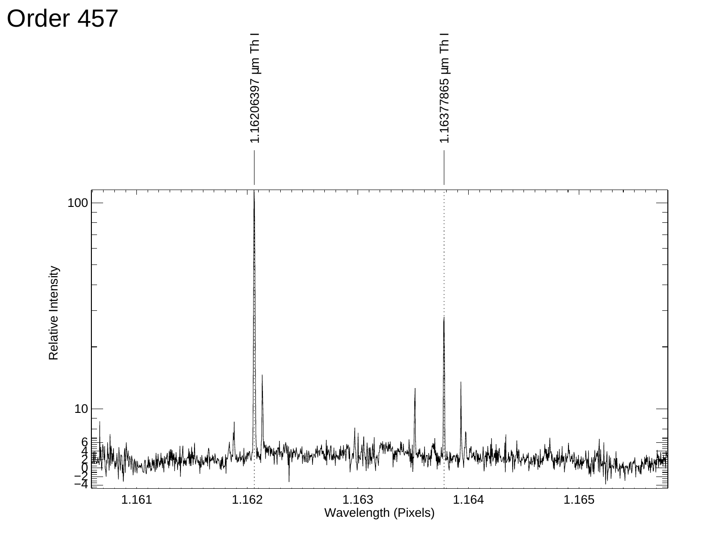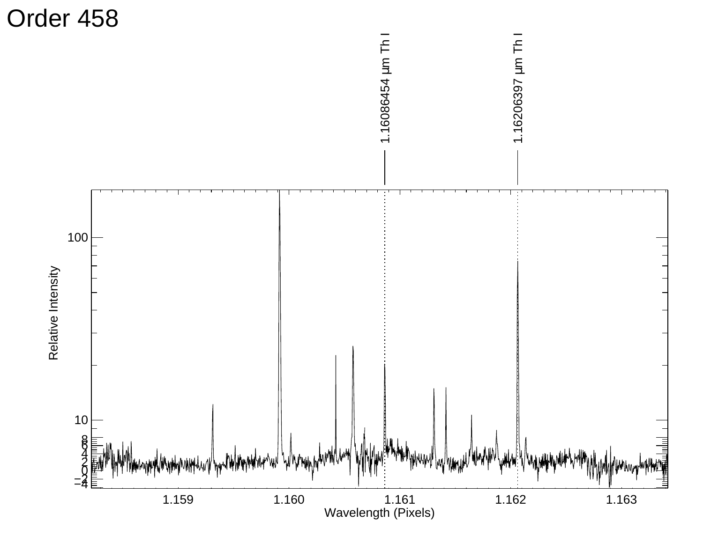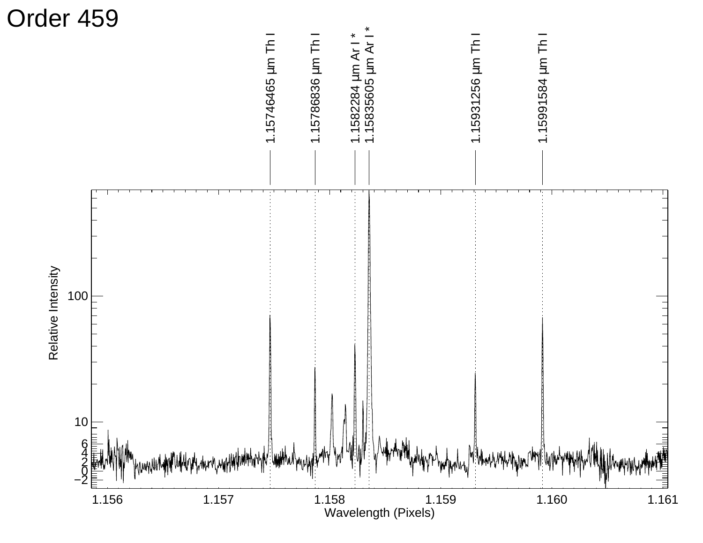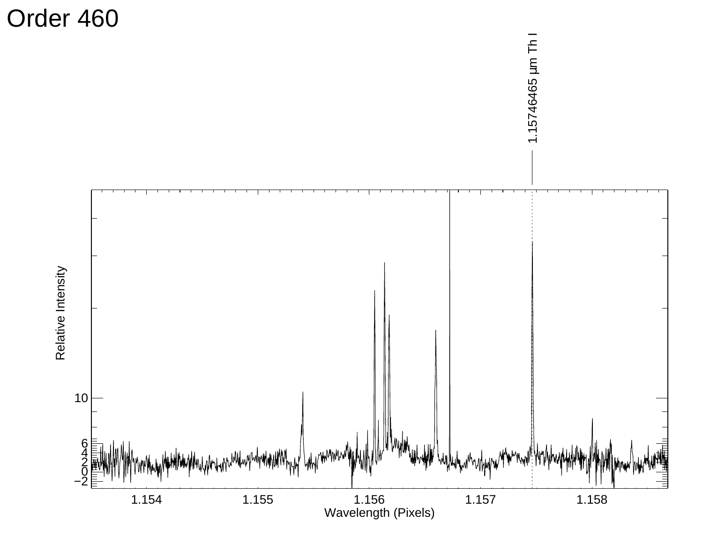Order 460

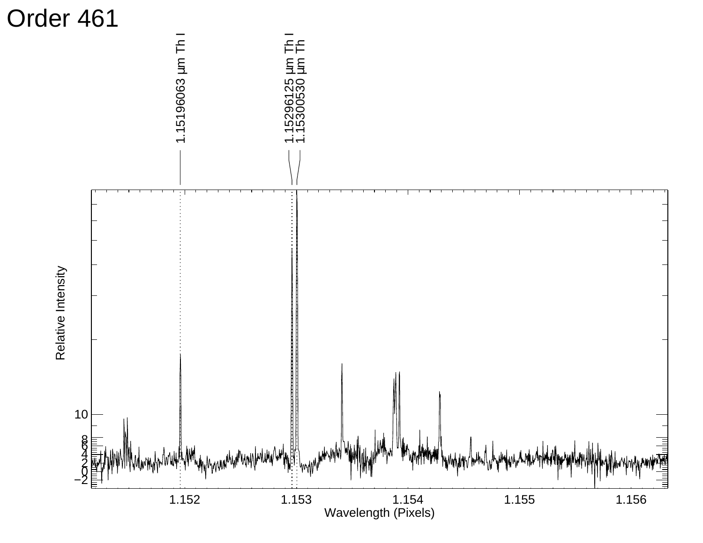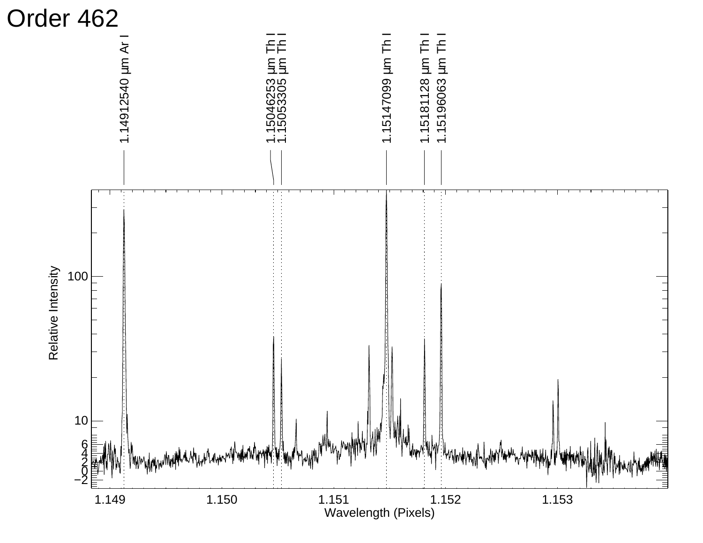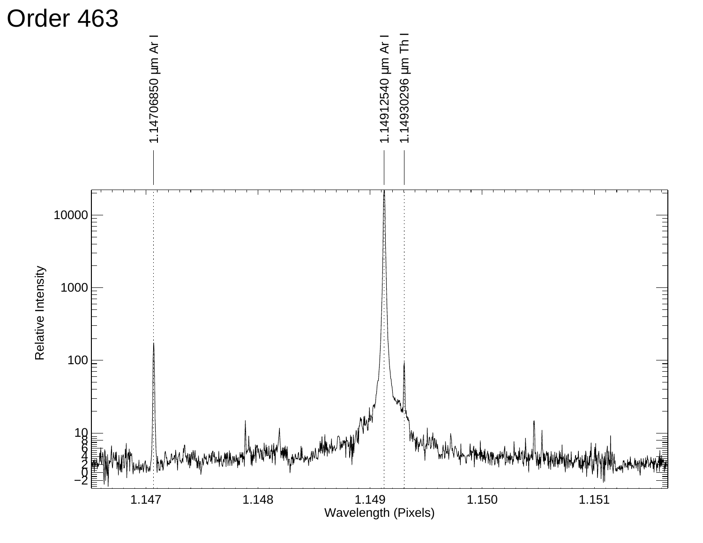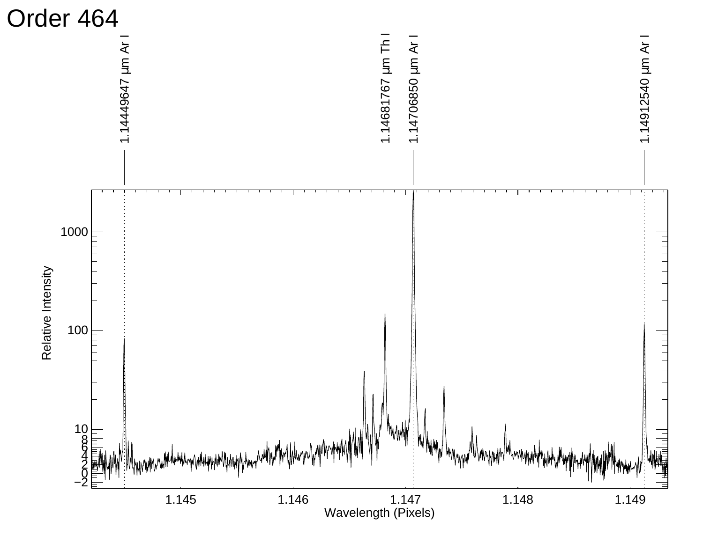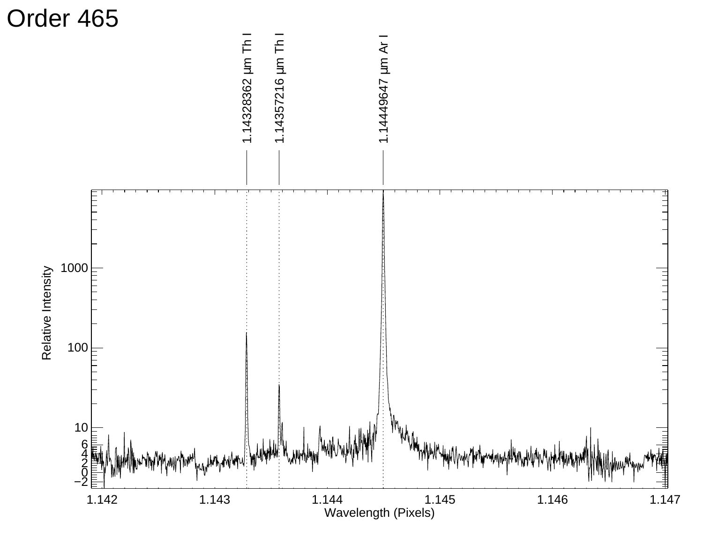![](_page_33_Figure_0.jpeg)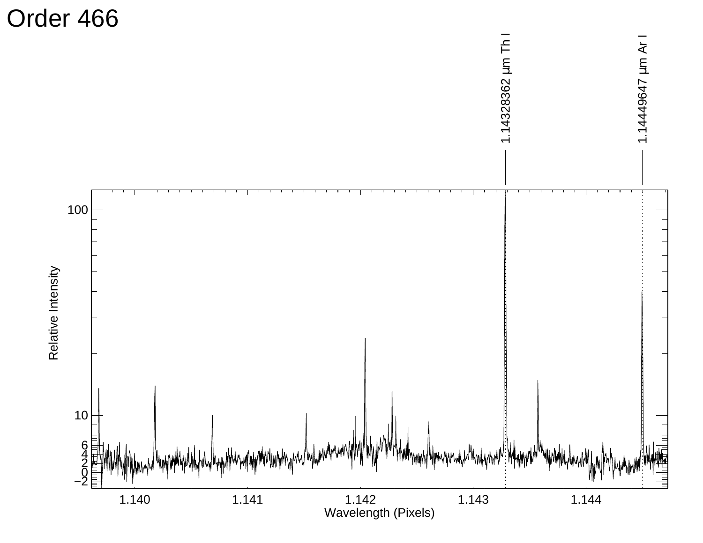![](_page_34_Figure_0.jpeg)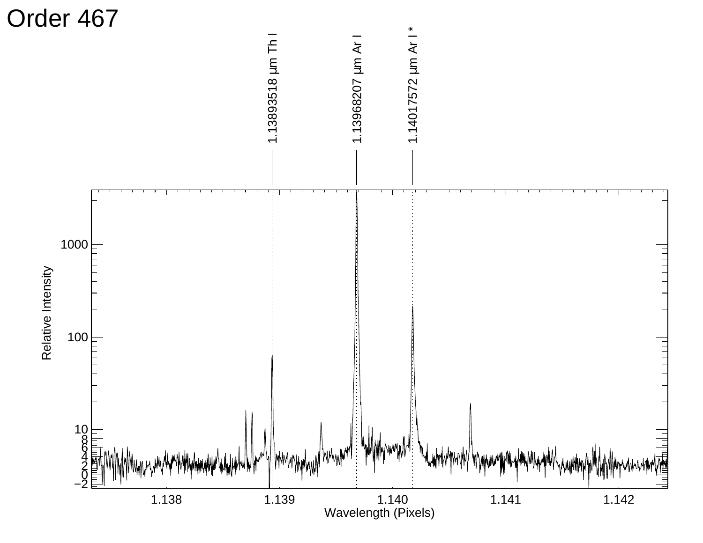![](_page_35_Figure_0.jpeg)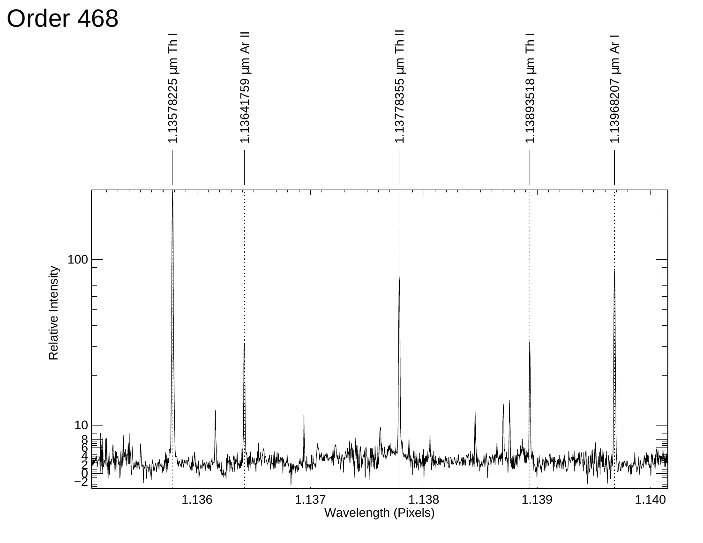![](_page_36_Figure_0.jpeg)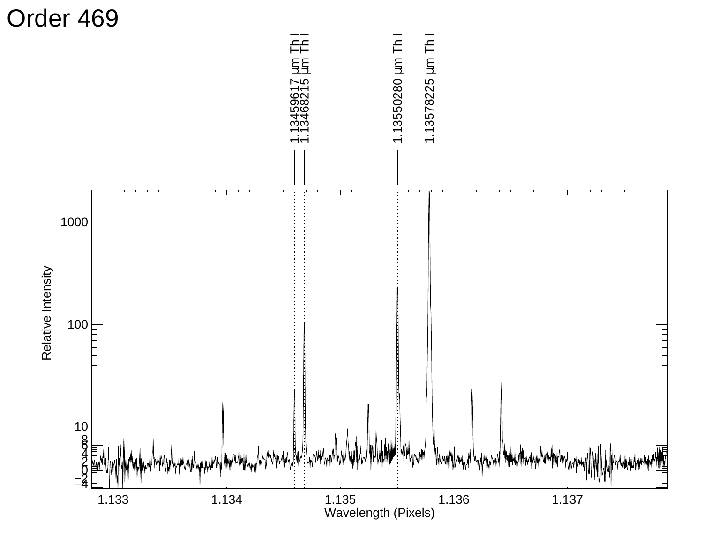![](_page_37_Figure_0.jpeg)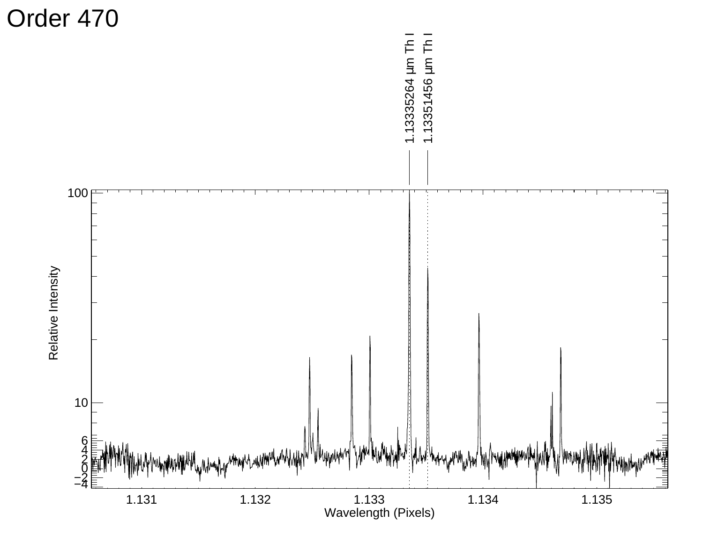![](_page_38_Figure_0.jpeg)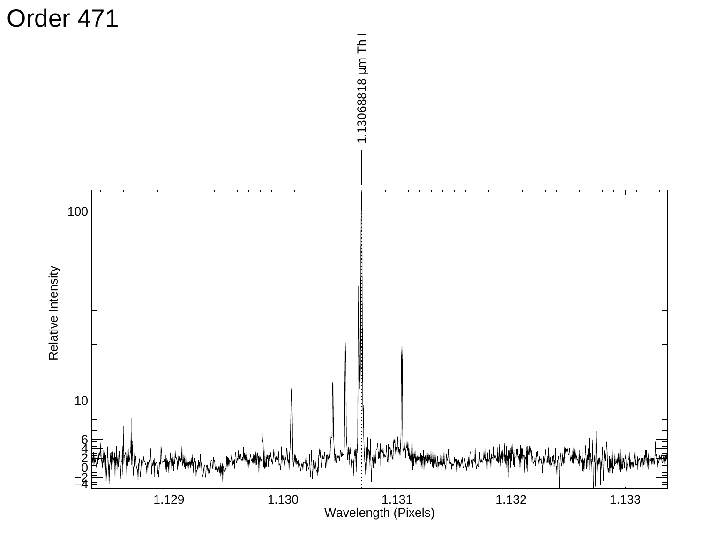![](_page_39_Figure_0.jpeg)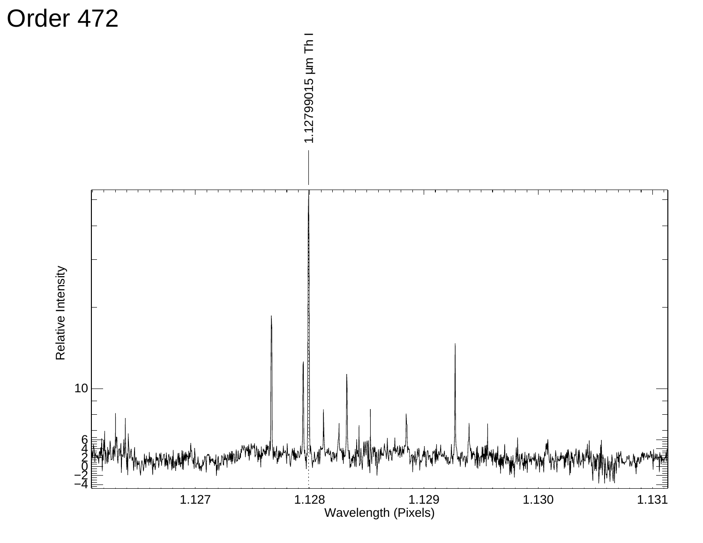![](_page_40_Figure_0.jpeg)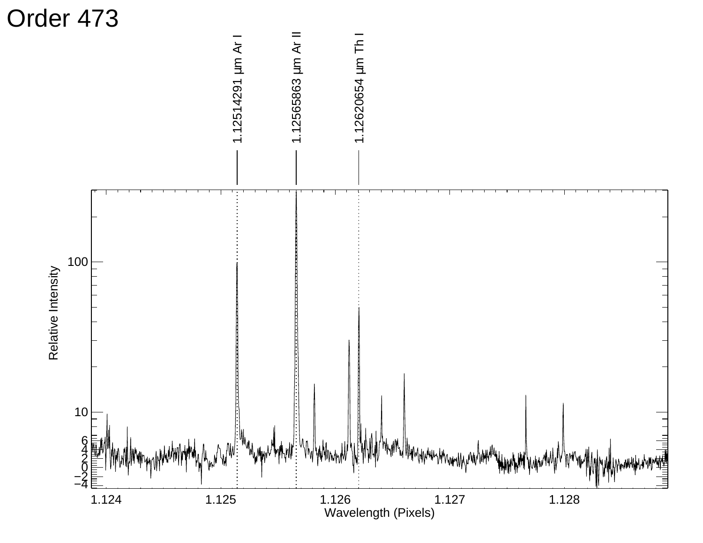![](_page_41_Figure_0.jpeg)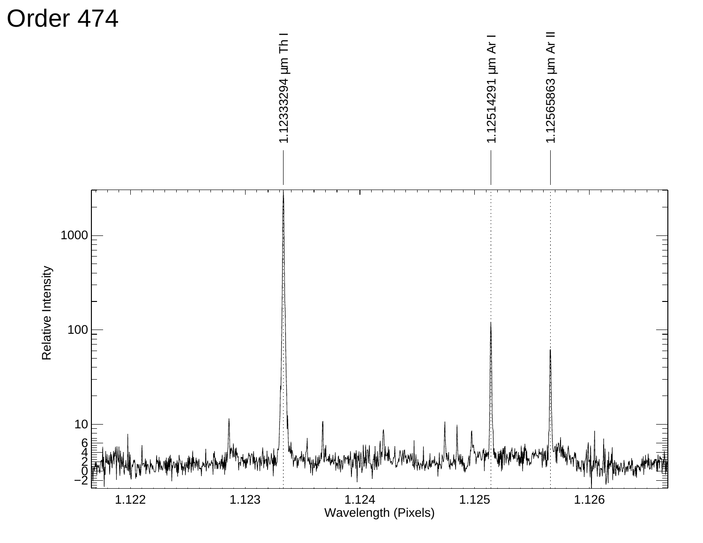![](_page_42_Figure_0.jpeg)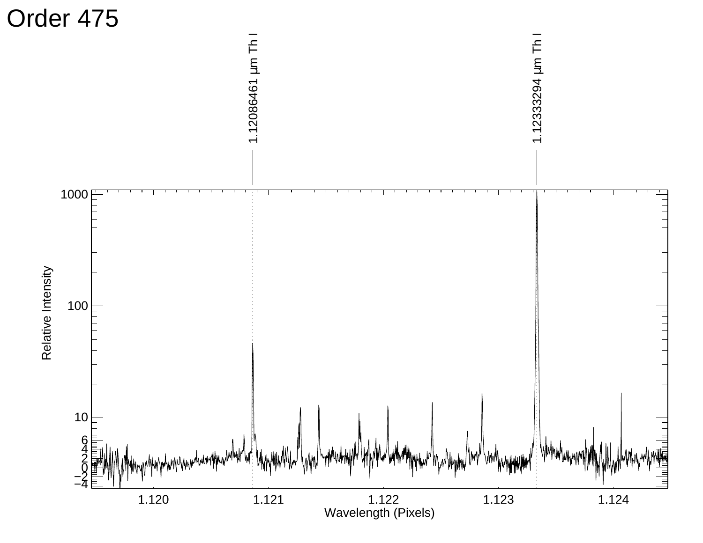![](_page_43_Figure_0.jpeg)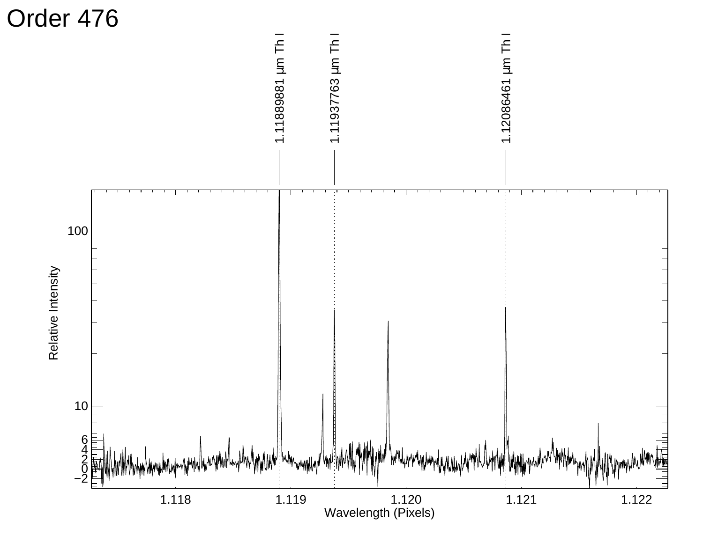![](_page_44_Figure_0.jpeg)